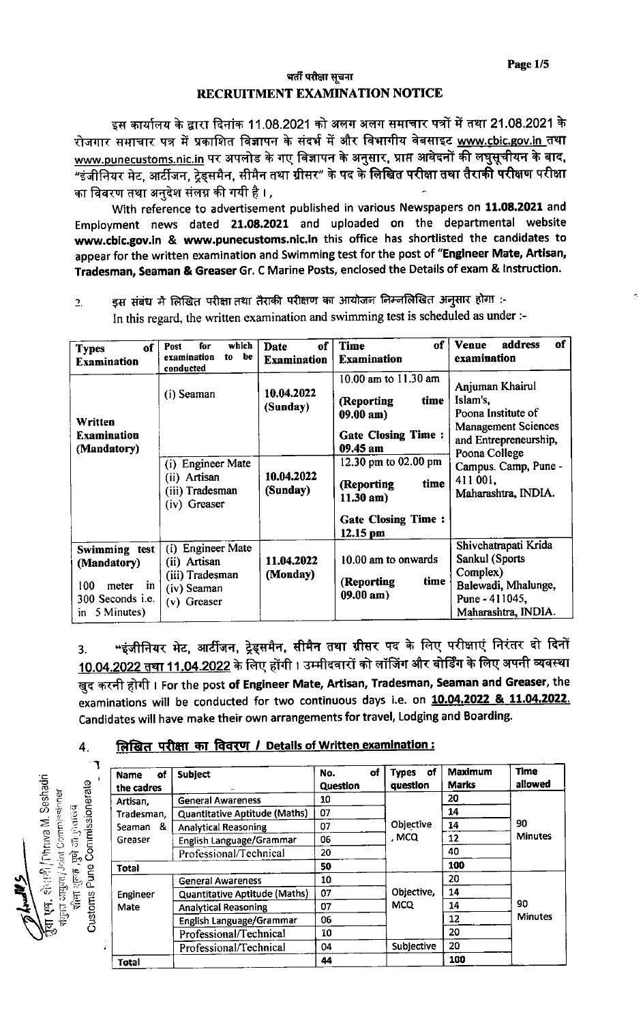## भर्ती परीक्षा सूचना RECRUITMENT EXAMINATION NOTICE

इस कार्यालय के द्वारा दिनांक 11.08.2021 को अलग अलग समाचार पत्रों में तथा 21.08.2021 के रोजगार समाचार पत्र में प्रकाशित विज्ञापन के संदर्भ में और विभागीय वेबसाइट www.cbic.gov.in तथा www.punecustoms.nic.in पर अपलोड के गए विज्ञापन के अनुसार, प्राप्त आवेदनों की लघुसूचीयन के बाद, का विवरण तथा अनुदेश संलग्न की गयी है। ,

With reference to advertisement published in various Newspapers on 11.08.2021 and Employment news dated 21.08.2021 and uploaded on the departmental website www.cbic.gov.in & www.punecustoms.nic.in this office has shortlisted the candidates to appear for the written examination and Swimming test for the post of "Engineer Mate, Artisan, Tradesman, Seaman & Greaser Gr. C Marine Posts, enclosed the Details of exam & Instruction.

इस संबंध में लिखित परीक्षा तथा तैराकी परीक्षण का आयोजन निम्नलिखित अनुसार होगा :- $2<sub>1</sub>$ In this regard, the written examination and swimming test is scheduled as under :-

| оf<br><b>Types</b><br><b>Examination</b>                                                    | which<br>for<br>Post<br>examination<br>be<br>to<br>conducted                                   | of<br>Date<br><b>Examination</b> | of<br>Time<br><b>Examination</b>                                                                                           | of<br>address<br><b>Venue</b><br>examination                                                                              |  |
|---------------------------------------------------------------------------------------------|------------------------------------------------------------------------------------------------|----------------------------------|----------------------------------------------------------------------------------------------------------------------------|---------------------------------------------------------------------------------------------------------------------------|--|
| <b>Written</b><br><b>Examination</b><br>(Mandatory)                                         | (i) Seaman<br><b>Engineer Mate</b>                                                             | 10.04.2022<br>(Sunday)           | 10.00 am to 11.30 am<br>time<br>(Reporting<br>$09.00$ am)<br><b>Gate Closing Time:</b><br>09.45 am<br>12.30 pm to 02.00 pm | Anjuman Khairul<br>Islam's,<br>Poona Institute of<br><b>Management Sciences</b><br>and Entrepreneurship,<br>Poona College |  |
|                                                                                             | (i)<br>(ii) Artisan<br>(iii) Tradesman<br>(iv) Greaser                                         | 10.04.2022<br>(Sunday)           | time<br>(Reporting<br>$11.30$ am)<br><b>Gate Closing Time:</b>                                                             | Campus. Camp, Pune -<br>411 001,<br>Maharashtra, INDIA.                                                                   |  |
| Swimming test<br>(Mandatory)<br>100<br>in<br>meter<br>300 Seconds i.e.<br>5 Minutes)<br>in. | <b>Engineer Mate</b><br>(i)<br>(ii) Artisan<br>(iii) Tradesman<br>(iv) Seaman<br>$(v)$ Greaser | 11.04.2022<br>(Monday)           | 12.15 pm<br>10.00 am to onwards<br>time<br>(Reporting)<br>$09.00$ am)                                                      | Shivchatrapati Krida<br>Sankul (Sports<br>Complex)<br>Balewadi, Mhalunge,<br>Pune - 411045,<br>Maharashtra, INDIA.        |  |

"इंजीनियर मेट, आर्टीजन, ट्रेड्समैन, सीमैन तथा ग्रीसर पद के लिए परीक्षाएं निरंतर दो दिनों  $3<sup>1</sup>$ <u>10.04.2022 तथा 11.04.2022</u> के लिए होंगी । उम्मीदवारों को लॉजिंग और बोर्डिंग के लिए अपनी व्यवस्था खुद करनी होगी। For the post **of Engineer Mate, Artisan, Tradesman, Seaman and Greaser**, the examinations will be conducted for two continuous days i.e. on 10.04.2022 & 11.04.2022. Candidates will have make their own arrangements for travel, Lodging and Boarding.

## लिखित परीक्षा का विवरण / Details of Written examination: 4.

| of<br><b>Name</b><br>the cadres | Subject                       | of<br>No.<br><b>Question</b> | . of<br><b>Types</b><br>question | Maximum<br><b>Marks</b> | <b>Time</b><br>allowed |
|---------------------------------|-------------------------------|------------------------------|----------------------------------|-------------------------|------------------------|
| Artisan,                        | <b>General Awareness</b>      | 10                           |                                  | 20                      | 90<br><b>Minutes</b>   |
| Tradesman,                      | Quantitative Aptitude (Maths) | 07                           |                                  | 14                      |                        |
| Seaman &<br>Greaser             | <b>Analytical Reasoning</b>   | 07                           | Objective                        | 14                      |                        |
|                                 | English Language/Grammar      | 06                           | . MCQ                            | 12                      |                        |
|                                 | Professional/Technical        | 20                           |                                  | 40                      |                        |
| <b>Total</b>                    |                               | 50                           |                                  | 100                     |                        |
| Engineer<br>Mate                | <b>General Awareness</b>      | 10                           |                                  | 20                      | 90<br><b>Minutes</b>   |
|                                 | Quantitative Aptitude (Maths) | 07                           | Objective,<br><b>MCQ</b>         | 14                      |                        |
|                                 | <b>Analytical Reasoning</b>   | 07                           |                                  | 14                      |                        |
|                                 | English Language/Grammar      | 06                           |                                  | 12                      |                        |
|                                 | Professional/Technical        | 10                           |                                  | 20                      |                        |
|                                 | Professional/Technical        | 04                           | Subjective                       | 20                      |                        |
| <b>Total</b>                    |                               | 44                           |                                  | 100                     |                        |

्हेरान्दी / Chruva M. Seshadri Customs Pune Commissionerate <mark>ा</mark> आयुक्त¦Joint Commissioner **February 15** 月行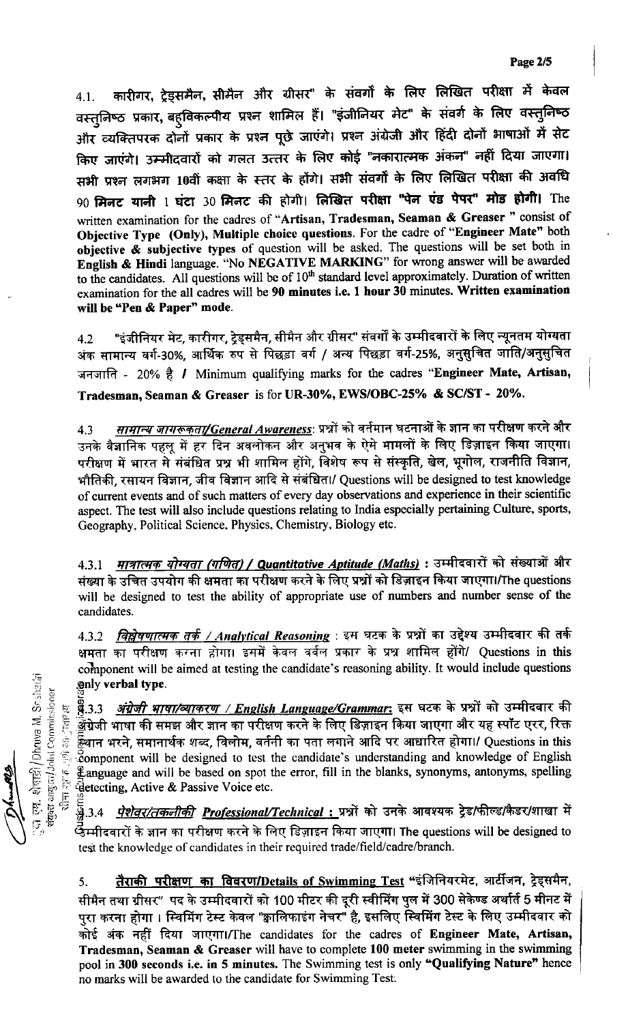कारीगर, ट्रेड्समैन, सीमैन और ग्रीसर" के संवर्गों के लिए लिखित परीक्षा में केवल  $4.1.$ वस्तुनिष्ठ प्रकार, बह्विकल्पीय प्रश्न शामिल हैं। "इंजीनियर मेट" के संवर्ग के लिए वस्त्निष्ठ और व्यक्तिपरक दोनों प्रकार के प्रश्न पूछे जाएंगे। प्रश्न अंग्रेजी और हिंदी दोनों भाषाओं में सेट किए जाएंगे। उम्मीदवारों को गलत उत्तर के लिए कोई "नकारात्मक अंकन" नहीं दिया जाएगा। सभी प्रश्न लगभग 10वीं कक्षा के स्तर के होंगे। सभी संवर्गों के लिए लिखित परीक्षा की अवधि 90 मिनट यानी 1 घंटा 30 मिनट की होगी। लिखित परीक्षा "पेन एंड पेपर" मोड होगी। The written examination for the cadres of "Artisan, Tradesman, Seaman & Greaser" consist of Objective Type (Only), Multiple choice questions. For the cadre of "Engineer Mate" both objective & subjective types of question will be asked. The questions will be set both in English & Hindi language. "No NEGATIVE MARKING" for wrong answer will be awarded to the candidates. All questions will be of 10<sup>th</sup> standard level approximately. Duration of written examination for the all cadres will be 90 minutes i.e. 1 hour 30 minutes. Written examination will be "Pen & Paper" mode.

"इंजीनियर मेट, कारीगर, टेडसमैन, सीमैन और ग्रीसर" संवर्गों के उम्मीदवारों के लिए न्यूनतम योग्यता  $4.2$ अंक सामान्य वर्ग-30%. आर्थिक रुप से पिछड़ा वर्ग / अन्य पिछड़ा वर्ग-25%, अनुसुचित जाति/अनुसुचित जनजाति - 20% है / Minimum qualifying marks for the cadres "Engineer Mate, Artisan, Tradesman, Seaman & Greaser is for UR-30%, EWS/OBC-25% & SC/ST - 20%.

<u>*सामान्य जागरूकता/General Awareness</mark>: प्रश्नों को वर्तमान घटनाओं के ज्ञान का परीक्षण करने और*</u> 4.3 उनके वैज्ञानिक पहलू में हर दिन अवलोकन और अनुभव के ऐसे मामलों के लिए डिज़ाइन किया जाएगा। परीक्षण में भारत से संबंधित प्रश्न भी शामिल होंगे, विशेष रूप से संस्कृति, खेल, भूगोल, राजनीति विज्ञान, भौतिकी, रसायन विज्ञान, जीव विज्ञान आदि से संबंधित।/ Questions will be designed to test knowledge of current events and of such matters of every day observations and experience in their scientific aspect. The test will also include questions relating to India especially pertaining Culture, sports, Geography, Political Science, Physics, Chemistry, Biology etc.

4.3.1 <u>मा*त्रात्मक योग्यता (गणित) / Quantitative Aptitude (Maths)* : उम्मीदवारों को संख्याओं और</u> संख्या के उचित उपयोग की क्षमता का परीक्षण करने के लिए प्रश्नों को डिज़ाइन किया जाएगा।/The questions will be designed to test the ability of appropriate use of numbers and number sense of the candidates.

4.3.2 विश्लेषणात्मक तर्क / Analytical Reasoning: इस घटक के प्रश्नों का उद्देश्य उम्मीदवार की तर्क क्षमता का परीक्षण करना होगा। इसमें केवल वर्वल प्रकार के प्रश्न शामिल होंगे/ Questions in this component will be aimed at testing the candidate's reasoning ability. It would include questions only verbal type.

<u>थ्र.3.3 *अंग्रेजी भाषा/व्याकरण / English Language/Grammar*: इस घटक के प्रश्नों को उम्मीदवार की</u> <u>ंद्धें</u>ग्रेजी भाषा की समझ और ज्ञान का परीक्षण करने के लिए डिज़ाइन किया जाएगा और यह स्पॉट एरर, रिक्त स्थान भरने, समानार्थक शब्द, विलोम, वर्तनी का पता लगाने आदि पर आधारित होगा।/ Questions in this component will be designed to test the candidate's understanding and knowledge of English Language and will be based on spot the error, fill in the blanks, synonyms, antonyms, spelling **Eletecting, Active & Passive Voice etc.** 

ूट्ट<br>- 23.4 *<u>पेशेवर/तकनीकी Professional/Technical*: प्र</u>श्नों को उनके आवश्यक ट्रेड/फील्ड/कैडर/शाखा में र्छैम्मीदवारों के ज्ञान का परीक्षण करने के लिए डिज़ाइन किया जाएगा। The questions will be designed to test the knowledge of candidates in their required trade/field/cadre/branch.

<u>तैराकी परीक्षण का विवरण/Details of Swimming Test</u> "इंजिनियरमेट, आर्टीजन, ट्रेड्समैन,  $5.$ सीमैन तथा ग्रीसर" पद के उम्मीदवारों को 100 मीटर की दूरी स्वीमिंग पुल में 300 सेकेण्ड अर्थार्त 5 मीनट में पुरा करना होगा । स्विमिंग टेस्ट केवल "क्वालिफाइंग नेचर" है, इसलिए स्विमिंग टेस्ट के लिए उम्मीदवार को कोई अंक नहीं दिया जाएगा।/The candidates for the cadres of Engineer Mate, Artisan, Tradesman, Seaman & Greaser will have to complete 100 meter swimming in the swimming pool in 300 seconds i.e. in 5 minutes. The Swimming test is only "Qualifying Nature" hence no marks will be awarded to the candidate for Swimming Test.

एम. शेषाई) /Dhruva M. Seshaviri संयुक्त आयुक्ता/John Commissioner **FE** 忘 ğ,  $\sqrt{2}$  and  $\sqrt{2}$ 5<br>02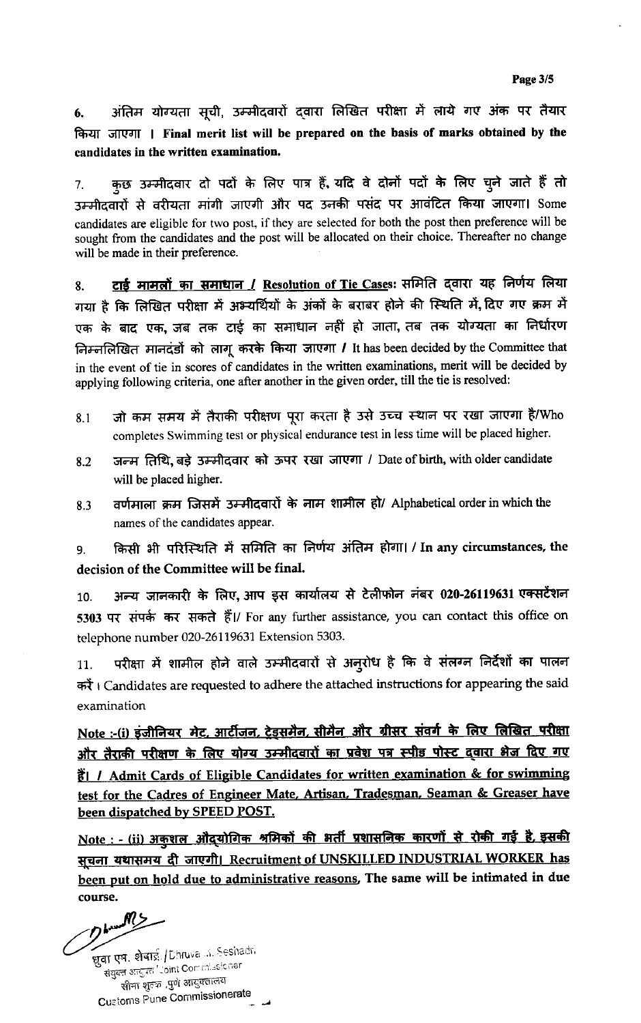अंतिम योग्यता सूची, उम्मीदवारों दवारा लिखित परीक्षा में लाये गए अंक पर तैयार 6. किया जाएगा । Final merit list will be prepared on the basis of marks obtained by the candidates in the written examination.

कुछ उम्मीदवार दो पदों के लिए पात्र हैं, यदि वे दोनों पदों के लिए चुने जाते हैं तो 7. उम्मीदवारों से वरीयता मांगी जाएगी और पद उनकी पसंद पर आवंटित किया जाएगा। Some candidates are eligible for two post, if they are selected for both the post then preference will be sought from the candidates and the post will be allocated on their choice. Thereafter no change will be made in their preference.

टाई मामलों का समाधान / Resolution of Tie Cases: समिति दवारा यह निर्णय लिया 8. गया है कि लिखित परीक्षा में अभ्यर्थियों के अंकों के बराबर होने की स्थिति में, दिए गए क्रम में एक के बाद एक, जब तक टाई का समाधान नहीं हो जाता, तब तक योग्यता का निर्धारण निम्नलिखित मानदंडों को लागू करके किया जाएगा / It has been decided by the Committee that in the event of tie in scores of candidates in the written examinations, merit will be decided by applying following criteria, one after another in the given order, till the tie is resolved:

- जो कम समय में तैराकी परीक्षण पूरा करता है उसे उच्च स्थान पर रखा जाएगा है/Who  $8.1$ completes Swimming test or physical endurance test in less time will be placed higher.
- जन्म तिथि, बड़े उम्मीदवार को ऊपर रखा जाएगा / Date of birth, with older candidate 8.2 will be placed higher.
- वर्णमाला क्रम जिसमें उम्मीदवारों के नाम शामील हो/ Alphabetical order in which the 8.3 names of the candidates appear.

किसी भी परिस्थिति में समिति का निर्णय अंतिम होगा। / In any circumstances, the 9. decision of the Committee will be final.

अन्य जानकारी के लिए, आप इस कार्यालय से टेलीफोन नंबर 020-26119631 एक्सटेंशन 10. 5303 पर संपर्क कर सकते हैं।/ For any further assistance, you can contact this office on telephone number 020-26119631 Extension 5303.

परीक्षा में शामील होने वाले उम्मीदवारों से अनुरोध है कि वे संलग्न निर्देशों का पालन 11. करें। Candidates are requested to adhere the attached instructions for appearing the said examination

Note :- (i) इंजीनियर मेट, आर्टीजन, ट्रेइसमैन, सीमैन और ग्रीसर संवर्ग के लिए लिखित परीक्षा और तैराकी परीक्षण क<u>े लिए योग्य उम्मीदवारों का प्रवेश पत्र स्पीड पोस्ट दवारा भेज दिए गए</u> **ii** / Admit Cards of Eligible Candidates for written examination & for swimming test for the Cadres of Engineer Mate, Artisan, Tradesman, Seaman & Greaser have been dispatched by SPEED POST.

Note : - (ii) अकुशल औद्योगिक श्रमिकों की भर्ती प्रशासनिक कारणों से रोकी गई है, इसकी सूचना यथासमय दी जाएगी। Recruitment of UNSKILLED INDUSTRIAL WORKER has been put on hold due to administrative reasons. The same will be intimated in due course.

Dhundhy

ख़ूबा एष. शेषाई /Dhruva .a. Seshadri संयुक्त आयुक्त "Joint Commissioner सीमा शुतक ,पुणे आयुक्तालय **Customs Pune Commissionerate**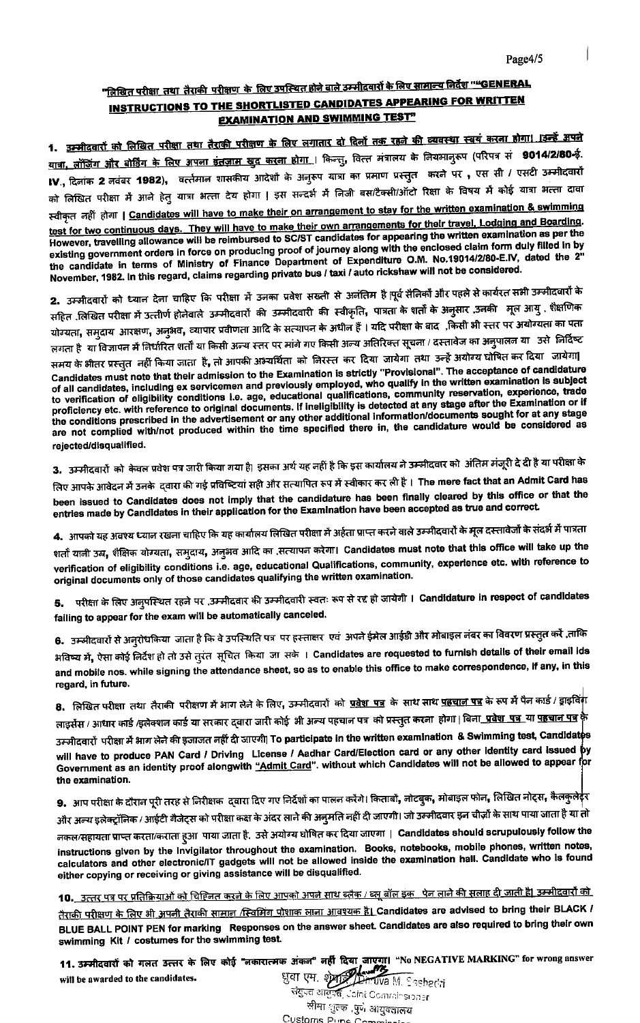## <u>"लिखित परीक्षा\_तथा\_तैराकी\_परीक्षण\_के\_लिए उपस्थित होने बाले उम्मीदवारों के लिए सामान्य निर्देश "<del>"</del>GENERAL</u> **INSTRUCTIONS TO THE SHORTLISTED CANDIDATES APPEARING FOR WRITTEN EXAMINATION AND SWIMMING TEST"**

1. <u>उम्मीदवारों को लिखित परीक्षा तथा तैराकी परीक्षण के लिए लगातार दो दिलों तक रहने की व्यवस्था स्वयं करना होगा। उन्हें अपने</u> <u>यात्रा, लॉजिंग और बोर्डिंग के लिए अपना इंतज़ाम खुद करना होगा । किन्तु,</u> वित्त मंत्रालय के नियमान्**रूप (परिपत्र सं 9014/2/80-ई.** IV., दिनांक 2 नवंबर 1982), वर्त्तमान शासकीय आदेशों के अनुरूप यात्रा का प्रमाण प्रस्तुत करने पर , एस सी / एसटी उम्मीदवारों को लिखित परीक्षा में आने हेतु यात्रा भत्ता देय होगा | इस सन्दर्भ में निजी बस/टैक्सी/ऑटो रिक्षा के विषय में कोई यात्रा भत्ता दावा स्वीकृत नहीं होगा | Candidates will have to make their on arrangement to stay for the written examination & swimming test for two continuous days. They will have to make their own arrangements for their travel, Lodging and Boarding. However, travelling allowance will be reimbursed to SC/ST candidates for appearing the written examination as per the existing government orders in force on producing proof of journey along with the enclosed claim form duly filled in by the candidate in terms of Ministry of Finance Department of Expenditure O.M. No.19014/2/80-E.IV, dated the 2" November, 1982. In this regard, claims regarding private bus / taxi / auto rickshaw will not be considered.

2. उम्मीदवारों को ध्यान देना चाहिए कि परीक्षा में उनका प्रवेश सख्ती से अनंतिम है।पूर्व सैनिकों और पहले से कार्यरत सभी उम्मीदवारों के सहित लिखित परीक्षा में उत्तीर्ण होनेवाले उम्मीदवारों की उम्मीदवारी की स्वीकृति, पात्रता के शर्तों के अनुसार उनकी मूल आयु . शैक्षणिक योग्यता, समुदाय आरक्षण, अनुभव, व्यापार प्रवीणता आदि के सत्यापन के अधीन हैं। यदि परीक्षा के बाद) किसी भी स्तर पर अयोग्यता का पता लगता है या विज्ञापन में निर्धारित शर्तो या किसी अन्य स्तर पर मांगे गए किसी अन्य अतिरिक्त सूचना / दस्तावेज का अनुपालन या उसे निर्दिष्ट समय के भीतर प्रस्तुत नहीं किया जाता है, तो आपकी अभ्यर्थिता को निरस्त कर दिया जायेगा तथा उन्हें अयोग्य घोषित कर दिया जायेगा| Candidates must note that their admission to the Examination is strictly "Provisional". The acceptance of candidature Continuates must note that their antihosion to the Examination is survey. Therefore it is acceptance of all candidates, including ex servicemen and previously employed, who qualify in the written examination is subject to the conditions prescribed in the advertisement or any other additional information/documents sought for at any stage are not complied with/not produced within the time specified there in, the candidature would be considered as rejected/disqualified.

3. उम्मीदवारों को केवल प्रवेश पत्र जारी किया गया है। इसका अर्थ यह नहीं है कि इस कार्यालय ने उम्मीदवार को अंतिम मंजूरी दे दी है या परीक्षा के लिए आपके आवेदन में उनके दवारा की गई प्रविष्टियां सही और सत्यापित रूप में स्वीकार कर ली है। The mere fact that an Admit Card has been issued to Candidates does not imply that the candidature has been finally cleared by this office or that the entries made by Candidates in their application for the Examination have been accepted as true and correct.

4. आपको यह अवश्य ध्याल रखना चाहिए कि यह कार्यालय लिखित परीक्षा में अर्हता प्राप्त करने वाले उम्मीदवारों के मूल दस्तावेजों के संदर्भ में पात्रता

शर्तो यानी उम, शैक्षिक योग्यता, समुदाय, अनुभव आदि का ,सत्यापन करेगा। Candidates must note that this office will take up the verification of eligibility conditions i.e. age, educational Qualifications, community, experience etc. with reference to original documents only of those candidates qualifying the written examination.

परीक्षा के लिए अनुपस्थित रहने पर ,उम्मीदवार की उम्मीदवारी स्वतः रूप से रद्द हो जायेगी । Candidature in respect of candidates 5. failing to appear for the exam will be automatically canceled.

6. उम्मीदवारों से अनुरोधकिया जाता है कि वे उपस्थिति पत्र पर हस्ताक्षर एवं अपने ईमेल आईडी और मोबाइल नंबर का विवरण प्रस्तुत करें ,ताकि अविष्य में, ऐसा कोई निर्देश हो तो उसे तुरंत सूचित किया जा सके । Candidates are requested to furnish details of their email ids and mobile nos. while signing the attendance sheet, so as to enable this office to make correspondence, if any, in this regard, in future.

8. लिखित परीक्षा तथा तैराकी परीक्षण में आग लेने के लिए, उम्मीदवारों को <u>प्रवेश पत्र</u> के साथ साथ <u>पहचान पत्र</u> के रूप में पैन कार्ड / ड्राइविंक लाइसेंस / आधार कार्ड /इलेक्शन कार्ड या सरकार दवारा जारी कोई भी अन्य पहचान पत्र को प्रस्तुत करना होगा | बिन<u>ा प्रबेश पत्र या पहचान पत्र</u> के उम्मीदवारों परीक्षा में भाग लेने की इजाजत नहीं दी जाएगी| To participate in the written examination & Swimming test, Candidates will have to produce PAN Card / Driving License / Aadhar Card/Election card or any other identity card issued by Government as an identity proof alongwith "Admit Card". without which Candidates will not be allowed to appear for the examination.

9. आप परीक्षा के दौरान पूरी तरह से निरीक्षक द्वारा दिए गए निर्देशों का पालन करेंगे। किताबों, नोटबुक, मोबाइल फोन, लिखित नोट्स, कैलकुलेईर और अल्य इलेक्ट्रॉनिक / आईटी गैजेट्स को परीक्षा कक्ष के अंदर लाने की अनुमति नहीं दी जाएगी। जो उम्मीदवार इन चीज़ों के साथ पाया जाता है या तो

नकल/सहायता प्राप्त करता/कराता हुआ पाया जाता है. उसे अयोग्य घोषित कर दिया जाएगा । Candidates should scrupulously follow the instructions given by the invigilator throughout the examination. Books, notebooks, mobile phones, written notes, calculators and other electronic/IT gadgets will not be allowed inside the examination hall. Candidate who is found either copying or receiving or giving assistance will be disqualified.

<u>10.\_ उत्तर पत्र पर प्रतिक्रियाओं को चिहिनत करने के लिए आपको अपने साथ ब्लैक / ब्लू बॉल इक\_ पेन लाने की सलाह दी जाती है| उम्मीदवारों को </u>

<u>तैराकी परीक्षण के लिए भी अपनी तैराकी सामान /स्विमिंग पोशाक लाना आवश्यक है।</u> Candidates are advised to bring their BLACK / BLUE BALL POINT PEN for marking Responses on the answer sheet. Candidates are also required to bring their own swimming Kit / costumes for the swimming test.

11. उम्मीदवारों को गलत उत्तर के लिए कोई "लकारात्मक अंकल" नहीं दिया जाएगा। "No NEGATIVE MARKING" for wrong answer धुवा एम. श्रेया<sup>99</sup> will be awarded to the candidates.

**Lehruva** M. Sashadri संयुपत आयुर्वत, Joint Comminsioner सीमा शुल्क ,पुणे आयुक्तालय Customs Pupe Comp